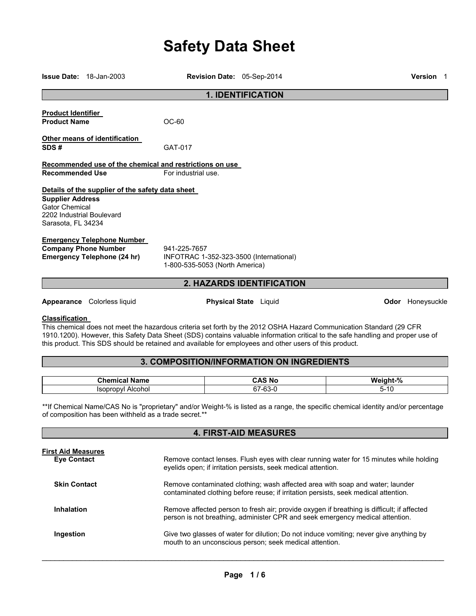# **Safety Data Sheet**

|                                                                                                     | <b>Issue Date: 18-Jan-2003</b>                                                                         | Revision Date: 05-Sep-2014                                                                             |                                  |                                                                                                                                                                                                                                                        | <b>Version</b> 1        |
|-----------------------------------------------------------------------------------------------------|--------------------------------------------------------------------------------------------------------|--------------------------------------------------------------------------------------------------------|----------------------------------|--------------------------------------------------------------------------------------------------------------------------------------------------------------------------------------------------------------------------------------------------------|-------------------------|
|                                                                                                     |                                                                                                        |                                                                                                        | <b>1. IDENTIFICATION</b>         |                                                                                                                                                                                                                                                        |                         |
| <b>Product Identifier</b><br><b>Product Name</b>                                                    |                                                                                                        | $OC-60$                                                                                                |                                  |                                                                                                                                                                                                                                                        |                         |
| SDS#                                                                                                | Other means of identification                                                                          | GAT-017                                                                                                |                                  |                                                                                                                                                                                                                                                        |                         |
|                                                                                                     |                                                                                                        | Recommended use of the chemical and restrictions on use                                                |                                  |                                                                                                                                                                                                                                                        |                         |
| <b>Recommended Use</b>                                                                              |                                                                                                        | For industrial use.                                                                                    |                                  |                                                                                                                                                                                                                                                        |                         |
| <b>Supplier Address</b><br><b>Gator Chemical</b><br>2202 Industrial Boulevard<br>Sarasota, FL 34234 | Details of the supplier of the safety data sheet                                                       |                                                                                                        |                                  |                                                                                                                                                                                                                                                        |                         |
|                                                                                                     | <b>Emergency Telephone Number</b><br><b>Company Phone Number</b><br><b>Emergency Telephone (24 hr)</b> | 941-225-7657<br>INFOTRAC 1-352-323-3500 (International)<br>1-800-535-5053 (North America)              |                                  |                                                                                                                                                                                                                                                        |                         |
|                                                                                                     |                                                                                                        |                                                                                                        | <b>2. HAZARDS IDENTIFICATION</b> |                                                                                                                                                                                                                                                        |                         |
|                                                                                                     | Appearance Colorless liquid                                                                            |                                                                                                        | <b>Physical State</b> Liquid     |                                                                                                                                                                                                                                                        | <b>Odor</b> Honeysuckle |
| <b>Classification</b>                                                                               |                                                                                                        | this product. This SDS should be retained and available for employees and other users of this product. |                                  | This chemical does not meet the hazardous criteria set forth by the 2012 OSHA Hazard Communication Standard (29 CFR<br>1910.1200). However, this Safety Data Sheet (SDS) contains valuable information critical to the safe handling and proper use of |                         |
|                                                                                                     |                                                                                                        | 3. COMPOSITION/INFORMATION ON INGREDIENTS                                                              |                                  |                                                                                                                                                                                                                                                        |                         |
|                                                                                                     | <b>Chemical Name</b><br><b>Isopropyl Alcohol</b>                                                       |                                                                                                        | <b>CAS No</b><br>67-63-0         | Weight-%<br>$5 - 10$                                                                                                                                                                                                                                   |                         |
|                                                                                                     | of composition has been withheld as a trade secret.**                                                  |                                                                                                        |                                  | **If Chemical Name/CAS No is "proprietary" and/or Weight-% is listed as a range, the specific chemical identity and/or percentage                                                                                                                      |                         |

| <b>4. FIRST-AID MEASURES</b>                    |                                                                                                                                                                             |  |
|-------------------------------------------------|-----------------------------------------------------------------------------------------------------------------------------------------------------------------------------|--|
| <b>First Aid Measures</b><br><b>Eye Contact</b> | Remove contact lenses. Flush eyes with clear running water for 15 minutes while holding<br>eyelids open; if irritation persists, seek medical attention.                    |  |
| <b>Skin Contact</b>                             | Remove contaminated clothing; wash affected area with soap and water; launder<br>contaminated clothing before reuse; if irritation persists, seek medical attention.        |  |
| Inhalation                                      | Remove affected person to fresh air; provide oxygen if breathing is difficult; if affected<br>person is not breathing, administer CPR and seek emergency medical attention. |  |
| Ingestion                                       | Give two glasses of water for dilution; Do not induce vomiting; never give anything by<br>mouth to an unconscious person; seek medical attention.                           |  |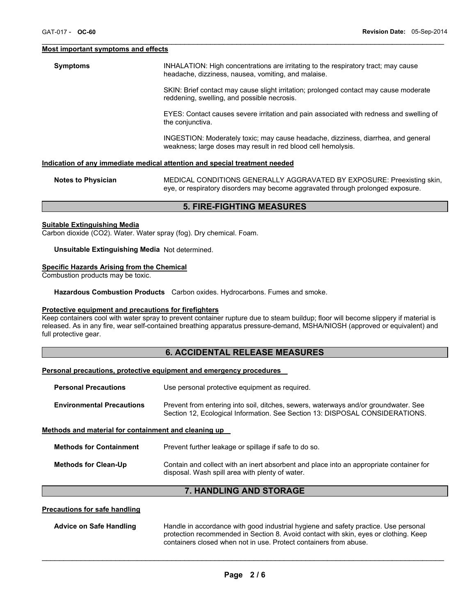#### **Most important symptoms and effects**

**Symptoms INHALATION: High concentrations are irritating to the respiratory tract; may cause** headache, dizziness, nausea, vomiting, and malaise.

 $\mathcal{L}_\mathcal{L} = \{ \mathcal{L}_\mathcal{L} = \{ \mathcal{L}_\mathcal{L} = \{ \mathcal{L}_\mathcal{L} = \{ \mathcal{L}_\mathcal{L} = \{ \mathcal{L}_\mathcal{L} = \{ \mathcal{L}_\mathcal{L} = \{ \mathcal{L}_\mathcal{L} = \{ \mathcal{L}_\mathcal{L} = \{ \mathcal{L}_\mathcal{L} = \{ \mathcal{L}_\mathcal{L} = \{ \mathcal{L}_\mathcal{L} = \{ \mathcal{L}_\mathcal{L} = \{ \mathcal{L}_\mathcal{L} = \{ \mathcal{L}_\mathcal{$ 

SKIN: Brief contact may cause slight irritation; prolonged contact may cause moderate reddening, swelling, and possible necrosis.

EYES: Contact causes severe irritation and pain associated with redness and swelling of the conjunctiva.

INGESTION: Moderately toxic; may cause headache, dizziness, diarrhea, and general weakness; large doses may result in red blood cell hemolysis.

#### **Indication of any immediate medical attention and special treatment needed**

| <b>Notes to Physician</b> | MEDICAL CONDITIONS GENERALLY AGGRAVATED BY EXPOSURE: Preexisting skin,          |
|---------------------------|---------------------------------------------------------------------------------|
|                           | eye, or respiratory disorders may become aggravated through prolonged exposure. |

#### **5. FIRE-FIGHTING MEASURES**

#### **Suitable Extinguishing Media**

Carbon dioxide (CO2). Water. Water spray (fog). Dry chemical. Foam.

#### **Unsuitable Extinguishing Media** Not determined.

## **Specific Hazards Arising from the Chemical**

Combustion products may be toxic.

**Hazardous Combustion Products** Carbon oxides. Hydrocarbons. Fumes and smoke.

#### **Protective equipment and precautions for firefighters**

Keep containers cool with water spray to prevent container rupture due to steam buildup; floor will become slippery if material is released. As in any fire, wear self-contained breathing apparatus pressure-demand, MSHA/NIOSH (approved or equivalent) and full protective gear.

## **6. ACCIDENTAL RELEASE MEASURES**

#### **Personal precautions, protective equipment and emergency procedures**

| <b>Personal Precautions</b>                          | Use personal protective equipment as required.                                                                                                                      |  |
|------------------------------------------------------|---------------------------------------------------------------------------------------------------------------------------------------------------------------------|--|
| <b>Environmental Precautions</b>                     | Prevent from entering into soil, ditches, sewers, waterways and/or groundwater. See<br>Section 12, Ecological Information. See Section 13: DISPOSAL CONSIDERATIONS. |  |
| Methods and material for containment and cleaning up |                                                                                                                                                                     |  |

| Methods for Containment | Prevent further leakage or spillage if safe to do so.                                                                                      |
|-------------------------|--------------------------------------------------------------------------------------------------------------------------------------------|
| Methods for Clean-Up    | Contain and collect with an inert absorbent and place into an appropriate container for<br>disposal. Wash spill area with plenty of water. |

# **7. HANDLING AND STORAGE**

## **Precautions for safe handling**

| <b>Advice on Safe Handling</b> | Handle in accordance with good industrial hygiene and safety practice. Use personal  |
|--------------------------------|--------------------------------------------------------------------------------------|
|                                | protection recommended in Section 8. Avoid contact with skin, eyes or clothing. Keep |
|                                | containers closed when not in use. Protect containers from abuse.                    |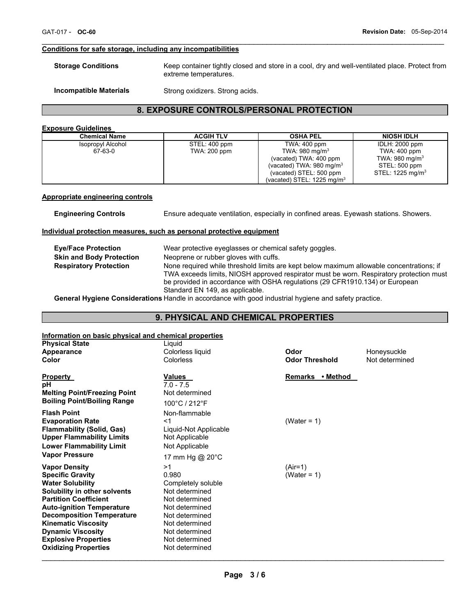# **Conditions for safe storage, including any incompatibilities**

| <b>Storage Conditions</b> | Keep container tightly closed and store in a cool, dry and well-ventilated place. Protect from |
|---------------------------|------------------------------------------------------------------------------------------------|
|                           | extreme temperatures.                                                                          |
|                           |                                                                                                |

 $\mathcal{L}_\mathcal{L} = \{ \mathcal{L}_\mathcal{L} = \{ \mathcal{L}_\mathcal{L} = \{ \mathcal{L}_\mathcal{L} = \{ \mathcal{L}_\mathcal{L} = \{ \mathcal{L}_\mathcal{L} = \{ \mathcal{L}_\mathcal{L} = \{ \mathcal{L}_\mathcal{L} = \{ \mathcal{L}_\mathcal{L} = \{ \mathcal{L}_\mathcal{L} = \{ \mathcal{L}_\mathcal{L} = \{ \mathcal{L}_\mathcal{L} = \{ \mathcal{L}_\mathcal{L} = \{ \mathcal{L}_\mathcal{L} = \{ \mathcal{L}_\mathcal{$ 

```
Incompatible Materials Strong oxidizers. Strong acids.
```
# **8. EXPOSURE CONTROLS/PERSONAL PROTECTION**

## **Exposure Guidelines**

| <b>Chemical Name</b> | <b>ACGIH TLV</b> | <b>OSHA PEL</b>                     | <b>NIOSH IDLH</b>           |
|----------------------|------------------|-------------------------------------|-----------------------------|
| Isopropyl Alcohol    | STEL: 400 ppm    | TWA: 400 ppm                        | IDLH: 2000 ppm              |
| 67-63-0              | TWA: 200 ppm     | TWA: 980 mg/m $3$                   | TWA: 400 ppm                |
|                      |                  | (vacated) TWA: 400 ppm              | TWA: 980 mg/m <sup>3</sup>  |
|                      |                  | (vacated) TWA: $980 \text{ mg/m}^3$ | STEL: 500 ppm               |
|                      |                  | (vacated) STEL: 500 ppm             | STEL: $1225 \text{ mg/m}^3$ |
|                      |                  | (vacated) STEL: 1225 mg/m $3$       |                             |

#### **Appropriate engineering controls**

**Engineering Controls** Ensure adequate ventilation, especially in confined areas. Eyewash stations. Showers.

## **Individual protection measures, such as personal protective equipment**

| <b>Eve/Face Protection</b><br><b>Skin and Body Protection</b> | Wear protective eyeglasses or chemical safety goggles.<br>Neoprene or rubber gloves with cuffs.                                                                                                                                                                   |
|---------------------------------------------------------------|-------------------------------------------------------------------------------------------------------------------------------------------------------------------------------------------------------------------------------------------------------------------|
| <b>Respiratory Protection</b>                                 | None required while threshold limits are kept below maximum allowable concentrations; if                                                                                                                                                                          |
|                                                               | TWA exceeds limits, NIOSH approved respirator must be worn. Respiratory protection must<br>be provided in accordance with OSHA regulations (29 CFR1910.134) or European                                                                                           |
|                                                               | Standard EN 149, as applicable.<br>Associated the state of Associated the second of the second second the second the distribution of the second second second second second second second second second second second second second second second second second s |

**General Hygiene Considerations** Handle in accordance with good industrial hygiene and safety practice.

# **9. PHYSICAL AND CHEMICAL PROPERTIES**

# **Information on basic physical and chemical properties**

| <b>Physical State</b>                                                                                                                                                                                                                                                                                                                      | Liguid                                                                                                                                                                            |                          |                |
|--------------------------------------------------------------------------------------------------------------------------------------------------------------------------------------------------------------------------------------------------------------------------------------------------------------------------------------------|-----------------------------------------------------------------------------------------------------------------------------------------------------------------------------------|--------------------------|----------------|
| Appearance                                                                                                                                                                                                                                                                                                                                 | Colorless liquid                                                                                                                                                                  | Odor                     | Honeysuckle    |
| Color                                                                                                                                                                                                                                                                                                                                      | Colorless                                                                                                                                                                         | <b>Odor Threshold</b>    | Not determined |
| <b>Property</b><br>рH<br><b>Melting Point/Freezing Point</b><br><b>Boiling Point/Boiling Range</b>                                                                                                                                                                                                                                         | <b>Values</b><br>$7.0 - 7.5$<br>Not determined<br>100°C / 212°F                                                                                                                   | Remarks • Method         |                |
| <b>Flash Point</b><br><b>Evaporation Rate</b><br><b>Flammability (Solid, Gas)</b><br><b>Upper Flammability Limits</b><br><b>Lower Flammability Limit</b>                                                                                                                                                                                   | Non-flammable<br><1<br>Liquid-Not Applicable<br>Not Applicable<br>Not Applicable                                                                                                  | (Water = $1$ )           |                |
| <b>Vapor Pressure</b>                                                                                                                                                                                                                                                                                                                      | 17 mm Hg @ 20°C                                                                                                                                                                   |                          |                |
| <b>Vapor Density</b><br><b>Specific Gravity</b><br><b>Water Solubility</b><br>Solubility in other solvents<br><b>Partition Coefficient</b><br><b>Auto-ignition Temperature</b><br><b>Decomposition Temperature</b><br><b>Kinematic Viscosity</b><br><b>Dynamic Viscosity</b><br><b>Explosive Properties</b><br><b>Oxidizing Properties</b> | >1<br>0.980<br>Completely soluble<br>Not determined<br>Not determined<br>Not determined<br>Not determined<br>Not determined<br>Not determined<br>Not determined<br>Not determined | $(Air=1)$<br>(Water = 1) |                |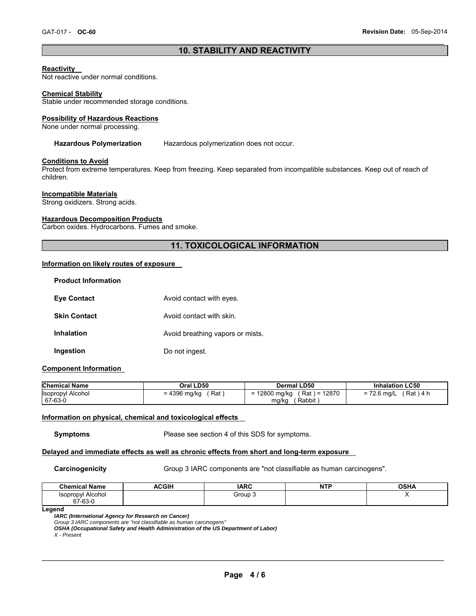## $\mathcal{L}_\mathcal{L} = \{ \mathcal{L}_\mathcal{L} = \{ \mathcal{L}_\mathcal{L} = \{ \mathcal{L}_\mathcal{L} = \{ \mathcal{L}_\mathcal{L} = \{ \mathcal{L}_\mathcal{L} = \{ \mathcal{L}_\mathcal{L} = \{ \mathcal{L}_\mathcal{L} = \{ \mathcal{L}_\mathcal{L} = \{ \mathcal{L}_\mathcal{L} = \{ \mathcal{L}_\mathcal{L} = \{ \mathcal{L}_\mathcal{L} = \{ \mathcal{L}_\mathcal{L} = \{ \mathcal{L}_\mathcal{L} = \{ \mathcal{L}_\mathcal{$ **10. STABILITY AND REACTIVITY**

## **Reactivity**

Not reactive under normal conditions.

#### **Chemical Stability**

Stable under recommended storage conditions.

#### **Possibility of Hazardous Reactions**

None under normal processing.

#### **Hazardous Polymerization** Hazardous polymerization does not occur.

#### **Conditions to Avoid**

Protect from extreme temperatures. Keep from freezing. Keep separated from incompatible substances. Keep out of reach of children.

## **Incompatible Materials**

Strong oxidizers. Strong acids.

#### **Hazardous Decomposition Products**

Carbon oxides. Hydrocarbons. Fumes and smoke.

# **11. TOXICOLOGICAL INFORMATION**

#### **Information on likely routes of exposure**

| <b>Product Information</b> |                                  |
|----------------------------|----------------------------------|
| <b>Eye Contact</b>         | Avoid contact with eyes.         |
| <b>Skin Contact</b>        | Avoid contact with skin.         |
| <b>Inhalation</b>          | Avoid breathing vapors or mists. |
| Ingestion                  | Do not ingest.                   |

### **Component Information**

| <b>Chemical Name</b>     | Oral LD50             | <b>Dermal LD50</b>             | <b>Inhalation LC50</b>       |
|--------------------------|-----------------------|--------------------------------|------------------------------|
| <b>Isopropyl Alcohol</b> | $= 4396$ mg/kg<br>Rat | (Rat) = 12870<br>= 12800 mg/kg | ′ Rat ) 4 h<br>$= 72.6$ mg/L |
| 67-63-0                  |                       | Rabbit<br>mg/kg                |                              |

#### **Information on physical, chemical and toxicological effects**

**Symptoms** Please see section 4 of this SDS for symptoms.

#### **Delayed and immediate effects as well as chronic effects from short and long-term exposure**

**Carcinogenicity Group 3 IARC components are "not classifiable as human carcinogens".** 

| <b>ACGIH</b> | <b>IARC</b> | ----<br>NT<br><b>ALL</b> | <b>OSHA</b> |
|--------------|-------------|--------------------------|-------------|
|              | Group 3     |                          |             |
|              |             |                          |             |

**Legend** 

*IARC (International Agency for Research on Cancer)* 

Group 3 IARC components are "not classifiable as human carcinogens"<br>**OSHA (Occupational Safety and Health Administration of the US Department of Labor)** 

*X - Present*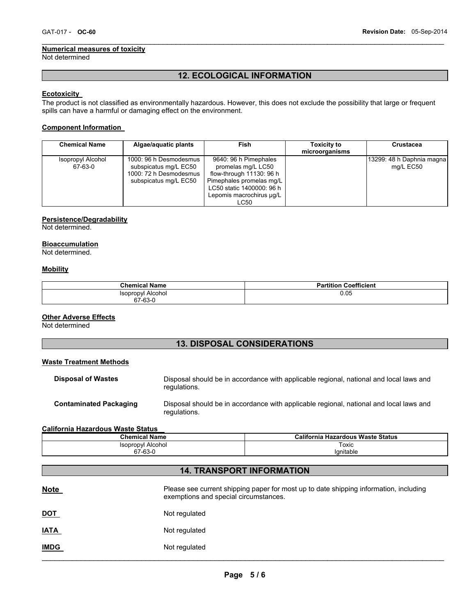#### **Numerical measures of toxicity**

Not determined

# **12. ECOLOGICAL INFORMATION**

 $\mathcal{L}_\mathcal{L} = \{ \mathcal{L}_\mathcal{L} = \{ \mathcal{L}_\mathcal{L} = \{ \mathcal{L}_\mathcal{L} = \{ \mathcal{L}_\mathcal{L} = \{ \mathcal{L}_\mathcal{L} = \{ \mathcal{L}_\mathcal{L} = \{ \mathcal{L}_\mathcal{L} = \{ \mathcal{L}_\mathcal{L} = \{ \mathcal{L}_\mathcal{L} = \{ \mathcal{L}_\mathcal{L} = \{ \mathcal{L}_\mathcal{L} = \{ \mathcal{L}_\mathcal{L} = \{ \mathcal{L}_\mathcal{L} = \{ \mathcal{L}_\mathcal{$ 

## **Ecotoxicity**

The product is not classified as environmentally hazardous. However, this does not exclude the possibility that large or frequent spills can have a harmful or damaging effect on the environment.

## **Component Information**

| <b>Chemical Name</b>         | Algae/aquatic plants                                                                               | Fish                                                                                                                                                                 | <b>Toxicity to</b><br>microorganisms | <b>Crustacea</b>                       |
|------------------------------|----------------------------------------------------------------------------------------------------|----------------------------------------------------------------------------------------------------------------------------------------------------------------------|--------------------------------------|----------------------------------------|
| Isopropyl Alcohol<br>67-63-0 | 1000: 96 h Desmodesmus<br>subspicatus mg/L EC50<br>1000: 72 h Desmodesmus<br>subspicatus mg/L EC50 | 9640: 96 h Pimephales<br>promelas mg/L LC50<br>flow-through 11130: 96 h<br>Pimephales promelas mg/L<br>LC50 static 1400000: 96 h<br>Lepomis macrochirus ug/L<br>LC50 |                                      | 13299: 48 h Daphnia magna<br>mg/L EC50 |

## **Persistence/Degradability**

Not determined.

## **Bioaccumulation**

Not determined.

## **Mobility**

| <b>Chemical Name</b>                | <b>Partition Coefficient</b> |
|-------------------------------------|------------------------------|
| <b>Isopropyl Alcohol</b><br>67-63-0 | 0.05                         |

## **Other Adverse Effects**

Not determined

# **13. DISPOSAL CONSIDERATIONS**

## **Waste Treatment Methods**

| <b>Disposal of Wastes</b>     | Disposal should be in accordance with applicable regional, national and local laws and<br>regulations. |
|-------------------------------|--------------------------------------------------------------------------------------------------------|
| <b>Contaminated Packaging</b> | Disposal should be in accordance with applicable regional, national and local laws and<br>regulations. |

#### **California Hazardous Waste Status**

| <b>Chemical Name</b>               | California Hazardous Waste Status |
|------------------------------------|-----------------------------------|
| Alcohol<br><i><b>Isopropyl</b></i> | Toxic                             |
| 67-63-0                            | lanitable                         |

# **14. TRANSPORT INFORMATION**

| <u>Note</u> | Please see current shipping paper for most up to date shipping information, including<br>exemptions and special circumstances. |
|-------------|--------------------------------------------------------------------------------------------------------------------------------|
| <u>DOT</u>  | Not regulated                                                                                                                  |
| <u>IATA</u> | Not regulated                                                                                                                  |
| <b>IMDG</b> | Not regulated                                                                                                                  |